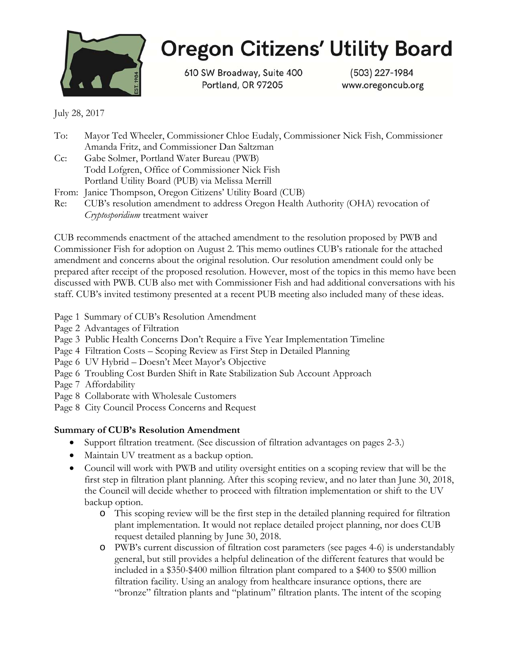

# **Oregon Citizens' Utility Board**

610 SW Broadway, Suite 400 Portland, OR 97205

(503) 227-1984 www.oregoncub.org

July 28, 2017

| To:    | Mayor Ted Wheeler, Commissioner Chloe Eudaly, Commissioner Nick Fish, Commissioner |  |
|--------|------------------------------------------------------------------------------------|--|
|        | Amanda Fritz, and Commissioner Dan Saltzman                                        |  |
| $Cc$ : | Gabe Solmer, Portland Water Bureau (PWB)                                           |  |
|        | Todd Lofgren, Office of Commissioner Nick Fish                                     |  |
|        | Portland Utility Board (PUB) via Melissa Merrill                                   |  |
|        | From: Janice Thompson, Oregon Citizens' Utility Board (CUB)                        |  |
| Re:    | CUB's resolution amendment to address Oregon Health Authority (OHA) revocation of  |  |
|        | Cryptosporidium treatment waiver                                                   |  |

CUB recommends enactment of the attached amendment to the resolution proposed by PWB and Commissioner Fish for adoption on August 2. This memo outlines CUB's rationale for the attached amendment and concerns about the original resolution. Our resolution amendment could only be prepared after receipt of the proposed resolution. However, most of the topics in this memo have been discussed with PWB. CUB also met with Commissioner Fish and had additional conversations with his staff. CUB's invited testimony presented at a recent PUB meeting also included many of these ideas.

- Page 1 Summary of CUB's Resolution Amendment
- Page 2 Advantages of Filtration
- Page 3 Public Health Concerns Don't Require a Five Year Implementation Timeline
- Page 4 Filtration Costs Scoping Review as First Step in Detailed Planning
- Page 6 UV Hybrid Doesn't Meet Mayor's Objective
- Page 6 Troubling Cost Burden Shift in Rate Stabilization Sub Account Approach
- Page 7 Affordability
- Page 8 Collaborate with Wholesale Customers
- Page 8 City Council Process Concerns and Request

## **Summary of CUB's Resolution Amendment**

- Support filtration treatment. (See discussion of filtration advantages on pages 2-3.)
- Maintain UV treatment as a backup option.
- Council will work with PWB and utility oversight entities on a scoping review that will be the first step in filtration plant planning. After this scoping review, and no later than June 30, 2018, the Council will decide whether to proceed with filtration implementation or shift to the UV backup option.
	- o This scoping review will be the first step in the detailed planning required for filtration plant implementation. It would not replace detailed project planning, nor does CUB request detailed planning by June 30, 2018.
	- o PWB's current discussion of filtration cost parameters (see pages 4-6) is understandably general, but still provides a helpful delineation of the different features that would be included in a \$350-\$400 million filtration plant compared to a \$400 to \$500 million filtration facility. Using an analogy from healthcare insurance options, there are "bronze" filtration plants and "platinum" filtration plants. The intent of the scoping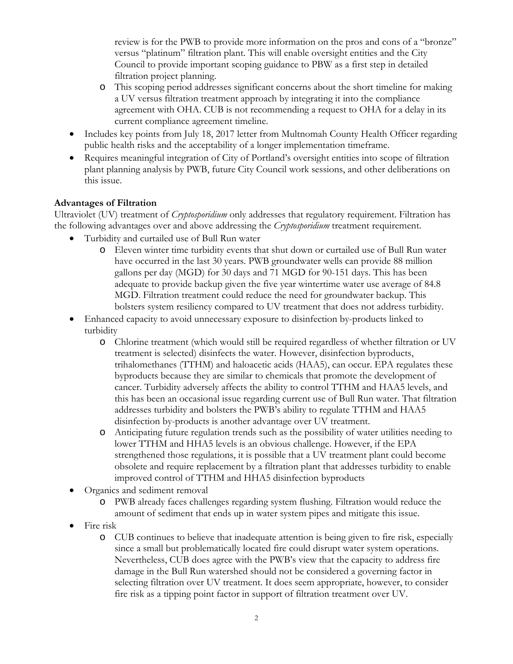review is for the PWB to provide more information on the pros and cons of a "bronze" versus "platinum" filtration plant. This will enable oversight entities and the City Council to provide important scoping guidance to PBW as a first step in detailed filtration project planning.

- o This scoping period addresses significant concerns about the short timeline for making a UV versus filtration treatment approach by integrating it into the compliance agreement with OHA. CUB is not recommending a request to OHA for a delay in its current compliance agreement timeline.
- Includes key points from July 18, 2017 letter from Multnomah County Health Officer regarding public health risks and the acceptability of a longer implementation timeframe.
- Requires meaningful integration of City of Portland's oversight entities into scope of filtration plant planning analysis by PWB, future City Council work sessions, and other deliberations on this issue.

## **Advantages of Filtration**

Ultraviolet (UV) treatment of *Cryptosporidium* only addresses that regulatory requirement. Filtration has the following advantages over and above addressing the *Cryptosporidium* treatment requirement.

- Turbidity and curtailed use of Bull Run water
	- o Eleven winter time turbidity events that shut down or curtailed use of Bull Run water have occurred in the last 30 years. PWB groundwater wells can provide 88 million gallons per day (MGD) for 30 days and 71 MGD for 90-151 days. This has been adequate to provide backup given the five year wintertime water use average of 84.8 MGD. Filtration treatment could reduce the need for groundwater backup. This bolsters system resiliency compared to UV treatment that does not address turbidity.
- Enhanced capacity to avoid unnecessary exposure to disinfection by-products linked to turbidity
	- o Chlorine treatment (which would still be required regardless of whether filtration or UV treatment is selected) disinfects the water. However, disinfection byproducts, trihalomethanes (TTHM) and haloacetic acids (HAA5), can occur. EPA regulates these byproducts because they are similar to chemicals that promote the development of cancer. Turbidity adversely affects the ability to control TTHM and HAA5 levels, and this has been an occasional issue regarding current use of Bull Run water. That filtration addresses turbidity and bolsters the PWB's ability to regulate TTHM and HAA5 disinfection by-products is another advantage over UV treatment.
	- o Anticipating future regulation trends such as the possibility of water utilities needing to lower TTHM and HHA5 levels is an obvious challenge. However, if the EPA strengthened those regulations, it is possible that a UV treatment plant could become obsolete and require replacement by a filtration plant that addresses turbidity to enable improved control of TTHM and HHA5 disinfection byproducts
- Organics and sediment removal
	- o PWB already faces challenges regarding system flushing. Filtration would reduce the amount of sediment that ends up in water system pipes and mitigate this issue.
- Fire risk
	- o CUB continues to believe that inadequate attention is being given to fire risk, especially since a small but problematically located fire could disrupt water system operations. Nevertheless, CUB does agree with the PWB's view that the capacity to address fire damage in the Bull Run watershed should not be considered a governing factor in selecting filtration over UV treatment. It does seem appropriate, however, to consider fire risk as a tipping point factor in support of filtration treatment over UV.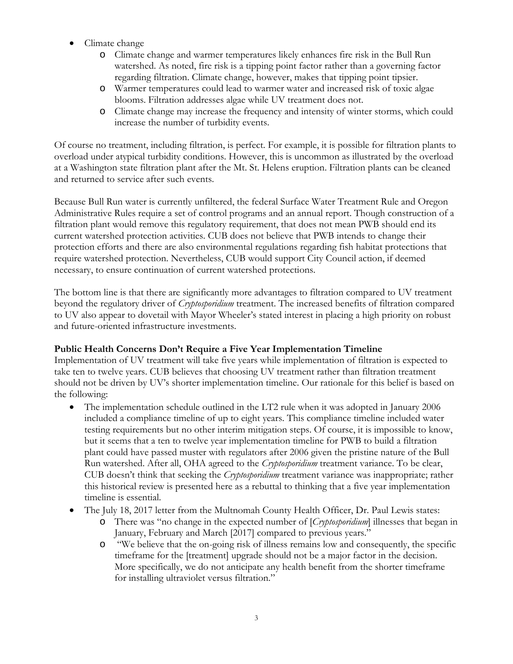- Climate change
	- o Climate change and warmer temperatures likely enhances fire risk in the Bull Run watershed. As noted, fire risk is a tipping point factor rather than a governing factor regarding filtration. Climate change, however, makes that tipping point tipsier.
	- o Warmer temperatures could lead to warmer water and increased risk of toxic algae blooms. Filtration addresses algae while UV treatment does not.
	- o Climate change may increase the frequency and intensity of winter storms, which could increase the number of turbidity events.

Of course no treatment, including filtration, is perfect. For example, it is possible for filtration plants to overload under atypical turbidity conditions. However, this is uncommon as illustrated by the overload at a Washington state filtration plant after the Mt. St. Helens eruption. Filtration plants can be cleaned and returned to service after such events.

Because Bull Run water is currently unfiltered, the federal Surface Water Treatment Rule and Oregon Administrative Rules require a set of control programs and an annual report. Though construction of a filtration plant would remove this regulatory requirement, that does not mean PWB should end its current watershed protection activities. CUB does not believe that PWB intends to change their protection efforts and there are also environmental regulations regarding fish habitat protections that require watershed protection. Nevertheless, CUB would support City Council action, if deemed necessary, to ensure continuation of current watershed protections.

The bottom line is that there are significantly more advantages to filtration compared to UV treatment beyond the regulatory driver of *Cryptosporidium* treatment. The increased benefits of filtration compared to UV also appear to dovetail with Mayor Wheeler's stated interest in placing a high priority on robust and future-oriented infrastructure investments.

## **Public Health Concerns Don't Require a Five Year Implementation Timeline**

Implementation of UV treatment will take five years while implementation of filtration is expected to take ten to twelve years. CUB believes that choosing UV treatment rather than filtration treatment should not be driven by UV's shorter implementation timeline. Our rationale for this belief is based on the following:

- The implementation schedule outlined in the LT2 rule when it was adopted in January 2006 included a compliance timeline of up to eight years. This compliance timeline included water testing requirements but no other interim mitigation steps. Of course, it is impossible to know, but it seems that a ten to twelve year implementation timeline for PWB to build a filtration plant could have passed muster with regulators after 2006 given the pristine nature of the Bull Run watershed. After all, OHA agreed to the *Cryptosporidium* treatment variance. To be clear, CUB doesn't think that seeking the *Cryptosporidium* treatment variance was inappropriate; rather this historical review is presented here as a rebuttal to thinking that a five year implementation timeline is essential.
- The July 18, 2017 letter from the Multnomah County Health Officer, Dr. Paul Lewis states:
	- o There was "no change in the expected number of [*Cryptosporidium*] illnesses that began in January, February and March [2017] compared to previous years."
	- o "We believe that the on-going risk of illness remains low and consequently, the specific timeframe for the [treatment] upgrade should not be a major factor in the decision. More specifically, we do not anticipate any health benefit from the shorter timeframe for installing ultraviolet versus filtration."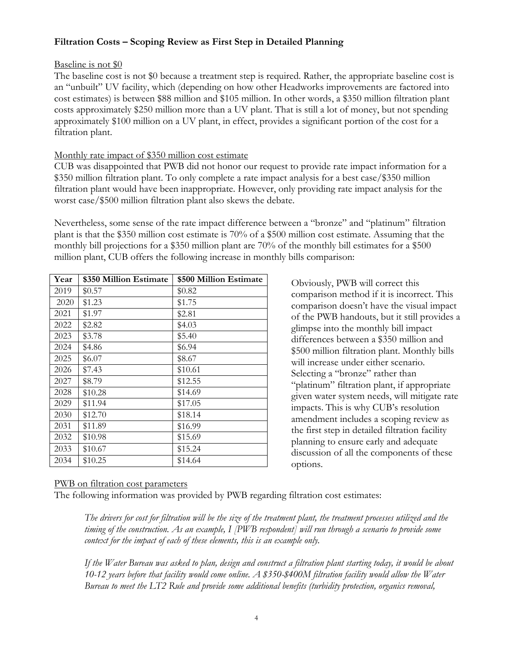## **Filtration Costs – Scoping Review as First Step in Detailed Planning**

#### Baseline is not \$0

The baseline cost is not \$0 because a treatment step is required. Rather, the appropriate baseline cost is an "unbuilt" UV facility, which (depending on how other Headworks improvements are factored into cost estimates) is between \$88 million and \$105 million. In other words, a \$350 million filtration plant costs approximately \$250 million more than a UV plant. That is still a lot of money, but not spending approximately \$100 million on a UV plant, in effect, provides a significant portion of the cost for a filtration plant.

## Monthly rate impact of \$350 million cost estimate

CUB was disappointed that PWB did not honor our request to provide rate impact information for a \$350 million filtration plant. To only complete a rate impact analysis for a best case/\$350 million filtration plant would have been inappropriate. However, only providing rate impact analysis for the worst case/\$500 million filtration plant also skews the debate.

Nevertheless, some sense of the rate impact difference between a "bronze" and "platinum" filtration plant is that the \$350 million cost estimate is 70% of a \$500 million cost estimate. Assuming that the monthly bill projections for a \$350 million plant are 70% of the monthly bill estimates for a \$500 million plant, CUB offers the following increase in monthly bills comparison:

| Year | \$350 Million Estimate | \$500 Million Estimate |
|------|------------------------|------------------------|
| 2019 | \$0.57                 | \$0.82                 |
| 2020 | \$1.23                 | \$1.75                 |
| 2021 | \$1.97                 | \$2.81                 |
| 2022 | \$2.82                 | \$4.03                 |
| 2023 | \$3.78                 | \$5.40                 |
| 2024 | \$4.86                 | \$6.94                 |
| 2025 | \$6.07                 | \$8.67                 |
| 2026 | \$7.43                 | \$10.61                |
| 2027 | \$8.79                 | \$12.55                |
| 2028 | \$10.28                | \$14.69                |
| 2029 | \$11.94                | \$17.05                |
| 2030 | \$12.70                | \$18.14                |
| 2031 | \$11.89                | \$16.99                |
| 2032 | \$10.98                | \$15.69                |
| 2033 | \$10.67                | \$15.24                |
| 2034 | \$10.25                | \$14.64                |

Obviously, PWB will correct this comparison method if it is incorrect. This comparison doesn't have the visual impact of the PWB handouts, but it still provides a glimpse into the monthly bill impact differences between a \$350 million and \$500 million filtration plant. Monthly bills will increase under either scenario. Selecting a "bronze" rather than "platinum" filtration plant, if appropriate given water system needs, will mitigate rate impacts. This is why CUB's resolution amendment includes a scoping review as the first step in detailed filtration facility planning to ensure early and adequate discussion of all the components of these options.

#### PWB on filtration cost parameters

The following information was provided by PWB regarding filtration cost estimates:

*The drivers for cost for filtration will be the size of the treatment plant, the treatment processes utilized and the timing of the construction. As an example, I [PWB respondent] will run through a scenario to provide some context for the impact of each of these elements, this is an example only.* 

*If the Water Bureau was asked to plan, design and construct a filtration plant starting today, it would be about 10-12 years before that facility would come online. A \$350-\$400M filtration facility would allow the Water Bureau to meet the LT2 Rule and provide some additional benefits (turbidity protection, organics removal,*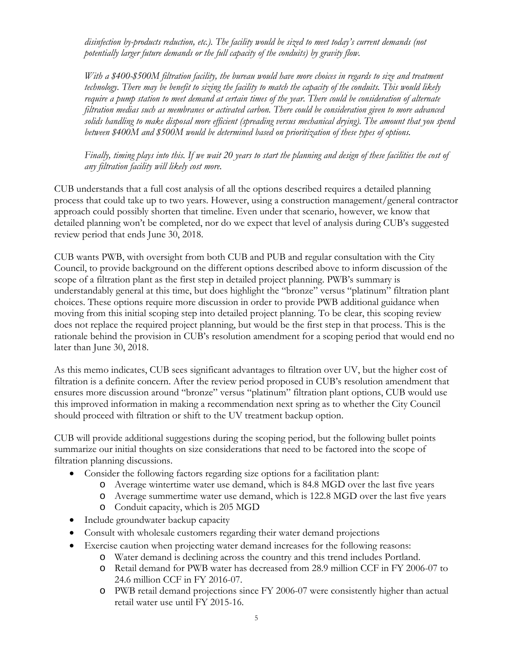*disinfection by-products reduction, etc.). The facility would be sized to meet today's current demands (not potentially larger future demands or the full capacity of the conduits) by gravity flow.* 

*With a \$400-\$500M filtration facility, the bureau would have more choices in regards to size and treatment technology. There may be benefit to sizing the facility to match the capacity of the conduits. This would likely require a pump station to meet demand at certain times of the year. There could be consideration of alternate filtration medias such as membranes or activated carbon. There could be consideration given to more advanced solids handling to make disposal more efficient (spreading versus mechanical drying). The amount that you spend between \$400M and \$500M would be determined based on prioritization of these types of options.* 

*Finally, timing plays into this. If we wait 20 years to start the planning and design of these facilities the cost of any filtration facility will likely cost more.* 

CUB understands that a full cost analysis of all the options described requires a detailed planning process that could take up to two years. However, using a construction management/general contractor approach could possibly shorten that timeline. Even under that scenario, however, we know that detailed planning won't be completed, nor do we expect that level of analysis during CUB's suggested review period that ends June 30, 2018.

CUB wants PWB, with oversight from both CUB and PUB and regular consultation with the City Council, to provide background on the different options described above to inform discussion of the scope of a filtration plant as the first step in detailed project planning. PWB's summary is understandably general at this time, but does highlight the "bronze" versus "platinum" filtration plant choices. These options require more discussion in order to provide PWB additional guidance when moving from this initial scoping step into detailed project planning. To be clear, this scoping review does not replace the required project planning, but would be the first step in that process. This is the rationale behind the provision in CUB's resolution amendment for a scoping period that would end no later than June 30, 2018.

As this memo indicates, CUB sees significant advantages to filtration over UV, but the higher cost of filtration is a definite concern. After the review period proposed in CUB's resolution amendment that ensures more discussion around "bronze" versus "platinum" filtration plant options, CUB would use this improved information in making a recommendation next spring as to whether the City Council should proceed with filtration or shift to the UV treatment backup option.

CUB will provide additional suggestions during the scoping period, but the following bullet points summarize our initial thoughts on size considerations that need to be factored into the scope of filtration planning discussions.

- Consider the following factors regarding size options for a facilitation plant:
	- o Average wintertime water use demand, which is 84.8 MGD over the last five years
	- o Average summertime water use demand, which is 122.8 MGD over the last five years
	- o Conduit capacity, which is 205 MGD
- Include groundwater backup capacity
- Consult with wholesale customers regarding their water demand projections
- Exercise caution when projecting water demand increases for the following reasons:
	- o Water demand is declining across the country and this trend includes Portland.
	- o Retail demand for PWB water has decreased from 28.9 million CCF in FY 2006-07 to 24.6 million CCF in FY 2016-07.
	- o PWB retail demand projections since FY 2006-07 were consistently higher than actual retail water use until FY 2015-16.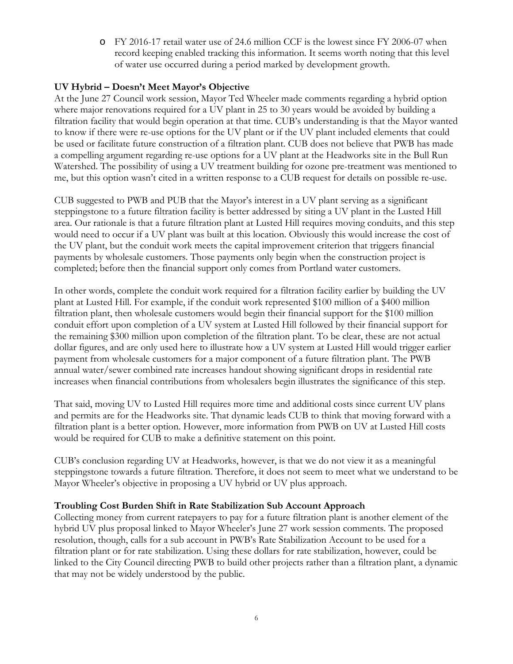o FY 2016-17 retail water use of 24.6 million CCF is the lowest since FY 2006-07 when record keeping enabled tracking this information. It seems worth noting that this level of water use occurred during a period marked by development growth.

## **UV Hybrid – Doesn't Meet Mayor's Objective**

At the June 27 Council work session, Mayor Ted Wheeler made comments regarding a hybrid option where major renovations required for a UV plant in 25 to 30 years would be avoided by building a filtration facility that would begin operation at that time. CUB's understanding is that the Mayor wanted to know if there were re-use options for the UV plant or if the UV plant included elements that could be used or facilitate future construction of a filtration plant. CUB does not believe that PWB has made a compelling argument regarding re-use options for a UV plant at the Headworks site in the Bull Run Watershed. The possibility of using a UV treatment building for ozone pre-treatment was mentioned to me, but this option wasn't cited in a written response to a CUB request for details on possible re-use.

CUB suggested to PWB and PUB that the Mayor's interest in a UV plant serving as a significant steppingstone to a future filtration facility is better addressed by siting a UV plant in the Lusted Hill area. Our rationale is that a future filtration plant at Lusted Hill requires moving conduits, and this step would need to occur if a UV plant was built at this location. Obviously this would increase the cost of the UV plant, but the conduit work meets the capital improvement criterion that triggers financial payments by wholesale customers. Those payments only begin when the construction project is completed; before then the financial support only comes from Portland water customers.

In other words, complete the conduit work required for a filtration facility earlier by building the UV plant at Lusted Hill. For example, if the conduit work represented \$100 million of a \$400 million filtration plant, then wholesale customers would begin their financial support for the \$100 million conduit effort upon completion of a UV system at Lusted Hill followed by their financial support for the remaining \$300 million upon completion of the filtration plant. To be clear, these are not actual dollar figures, and are only used here to illustrate how a UV system at Lusted Hill would trigger earlier payment from wholesale customers for a major component of a future filtration plant. The PWB annual water/sewer combined rate increases handout showing significant drops in residential rate increases when financial contributions from wholesalers begin illustrates the significance of this step.

That said, moving UV to Lusted Hill requires more time and additional costs since current UV plans and permits are for the Headworks site. That dynamic leads CUB to think that moving forward with a filtration plant is a better option. However, more information from PWB on UV at Lusted Hill costs would be required for CUB to make a definitive statement on this point.

CUB's conclusion regarding UV at Headworks, however, is that we do not view it as a meaningful steppingstone towards a future filtration. Therefore, it does not seem to meet what we understand to be Mayor Wheeler's objective in proposing a UV hybrid or UV plus approach.

#### **Troubling Cost Burden Shift in Rate Stabilization Sub Account Approach**

Collecting money from current ratepayers to pay for a future filtration plant is another element of the hybrid UV plus proposal linked to Mayor Wheeler's June 27 work session comments. The proposed resolution, though, calls for a sub account in PWB's Rate Stabilization Account to be used for a filtration plant or for rate stabilization. Using these dollars for rate stabilization, however, could be linked to the City Council directing PWB to build other projects rather than a filtration plant, a dynamic that may not be widely understood by the public.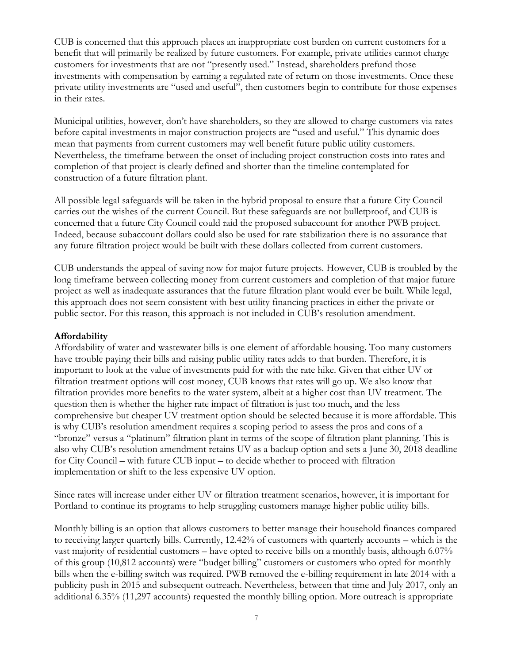CUB is concerned that this approach places an inappropriate cost burden on current customers for a benefit that will primarily be realized by future customers. For example, private utilities cannot charge customers for investments that are not "presently used." Instead, shareholders prefund those investments with compensation by earning a regulated rate of return on those investments. Once these private utility investments are "used and useful", then customers begin to contribute for those expenses in their rates.

Municipal utilities, however, don't have shareholders, so they are allowed to charge customers via rates before capital investments in major construction projects are "used and useful." This dynamic does mean that payments from current customers may well benefit future public utility customers. Nevertheless, the timeframe between the onset of including project construction costs into rates and completion of that project is clearly defined and shorter than the timeline contemplated for construction of a future filtration plant.

All possible legal safeguards will be taken in the hybrid proposal to ensure that a future City Council carries out the wishes of the current Council. But these safeguards are not bulletproof, and CUB is concerned that a future City Council could raid the proposed subaccount for another PWB project. Indeed, because subaccount dollars could also be used for rate stabilization there is no assurance that any future filtration project would be built with these dollars collected from current customers.

CUB understands the appeal of saving now for major future projects. However, CUB is troubled by the long timeframe between collecting money from current customers and completion of that major future project as well as inadequate assurances that the future filtration plant would ever be built. While legal, this approach does not seem consistent with best utility financing practices in either the private or public sector. For this reason, this approach is not included in CUB's resolution amendment.

#### **Affordability**

Affordability of water and wastewater bills is one element of affordable housing. Too many customers have trouble paying their bills and raising public utility rates adds to that burden. Therefore, it is important to look at the value of investments paid for with the rate hike. Given that either UV or filtration treatment options will cost money, CUB knows that rates will go up. We also know that filtration provides more benefits to the water system, albeit at a higher cost than UV treatment. The question then is whether the higher rate impact of filtration is just too much, and the less comprehensive but cheaper UV treatment option should be selected because it is more affordable. This is why CUB's resolution amendment requires a scoping period to assess the pros and cons of a "bronze" versus a "platinum" filtration plant in terms of the scope of filtration plant planning. This is also why CUB's resolution amendment retains UV as a backup option and sets a June 30, 2018 deadline for City Council – with future CUB input – to decide whether to proceed with filtration implementation or shift to the less expensive UV option.

Since rates will increase under either UV or filtration treatment scenarios, however, it is important for Portland to continue its programs to help struggling customers manage higher public utility bills.

Monthly billing is an option that allows customers to better manage their household finances compared to receiving larger quarterly bills. Currently, 12.42% of customers with quarterly accounts – which is the vast majority of residential customers – have opted to receive bills on a monthly basis, although 6.07% of this group (10,812 accounts) were "budget billing" customers or customers who opted for monthly bills when the e-billing switch was required. PWB removed the e-billing requirement in late 2014 with a publicity push in 2015 and subsequent outreach. Nevertheless, between that time and July 2017, only an additional 6.35% (11,297 accounts) requested the monthly billing option. More outreach is appropriate